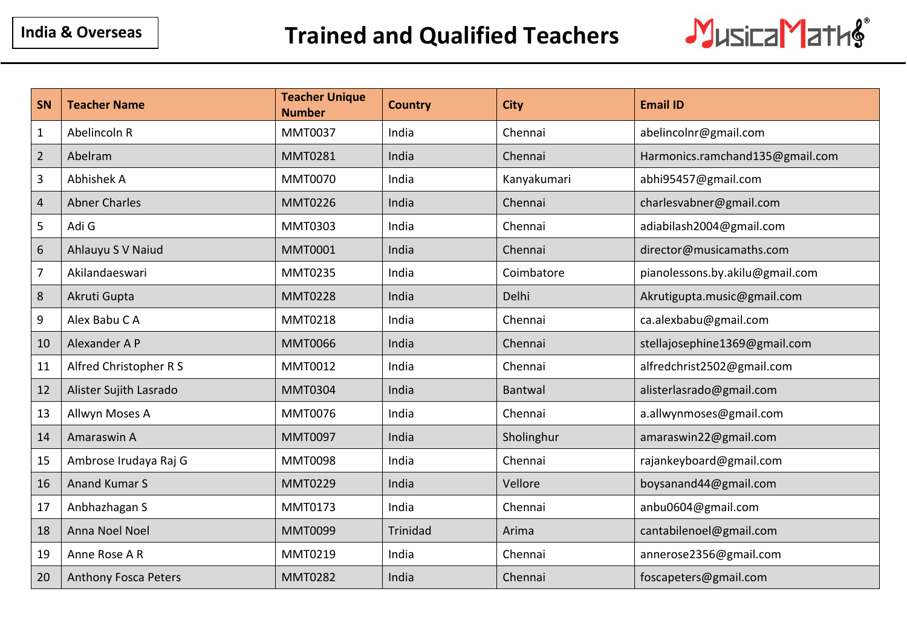

| SN             | <b>Teacher Name</b>         | <b>Teacher Unique</b><br><b>Number</b> | <b>Country</b> | <b>City</b> | <b>Email ID</b>                 |
|----------------|-----------------------------|----------------------------------------|----------------|-------------|---------------------------------|
| $\mathbf{1}$   | Abelincoln R                | <b>MMT0037</b>                         | India          | Chennai     | abelincolnr@gmail.com           |
| $\overline{2}$ | Abelram                     | <b>MMT0281</b>                         | India          | Chennai     | Harmonics.ramchand135@gmail.com |
| 3              | Abhishek A                  | <b>MMT0070</b>                         | India          | Kanyakumari | abhi95457@gmail.com             |
| $\overline{4}$ | <b>Abner Charles</b>        | <b>MMT0226</b>                         | India          | Chennai     | charlesvabner@gmail.com         |
| 5              | Adi G                       | MMT0303                                | India          | Chennai     | adiabilash2004@gmail.com        |
| 6              | Ahlauyu S V Naiud           | <b>MMT0001</b>                         | India          | Chennai     | director@musicamaths.com        |
| $\overline{7}$ | Akilandaeswari              | <b>MMT0235</b>                         | India          | Coimbatore  | pianolessons.by.akilu@gmail.com |
| 8              | Akruti Gupta                | <b>MMT0228</b>                         | India          | Delhi       | Akrutigupta.music@gmail.com     |
| 9              | Alex Babu C A               | <b>MMT0218</b>                         | India          | Chennai     | ca.alexbabu@gmail.com           |
| 10             | Alexander A P               | <b>MMT0066</b>                         | India          | Chennai     | stellajosephine1369@gmail.com   |
| 11             | Alfred Christopher R S      | MMT0012                                | India          | Chennai     | alfredchrist2502@gmail.com      |
| 12             | Alister Sujith Lasrado      | <b>MMT0304</b>                         | India          | Bantwal     | alisterlasrado@gmail.com        |
| 13             | Allwyn Moses A              | <b>MMT0076</b>                         | India          | Chennai     | a.allwynmoses@gmail.com         |
| 14             | Amaraswin A                 | <b>MMT0097</b>                         | India          | Sholinghur  | amaraswin22@gmail.com           |
| 15             | Ambrose Irudaya Raj G       | <b>MMT0098</b>                         | India          | Chennai     | rajankeyboard@gmail.com         |
| 16             | <b>Anand Kumar S</b>        | <b>MMT0229</b>                         | India          | Vellore     | boysanand44@gmail.com           |
| 17             | Anbhazhagan S               | MMT0173                                | India          | Chennai     | anbu0604@gmail.com              |
| 18             | Anna Noel Noel              | <b>MMT0099</b>                         | Trinidad       | Arima       | cantabilenoel@gmail.com         |
| 19             | Anne Rose A R               | MMT0219                                | India          | Chennai     | annerose2356@gmail.com          |
| 20             | <b>Anthony Fosca Peters</b> | <b>MMT0282</b>                         | India          | Chennai     | foscapeters@gmail.com           |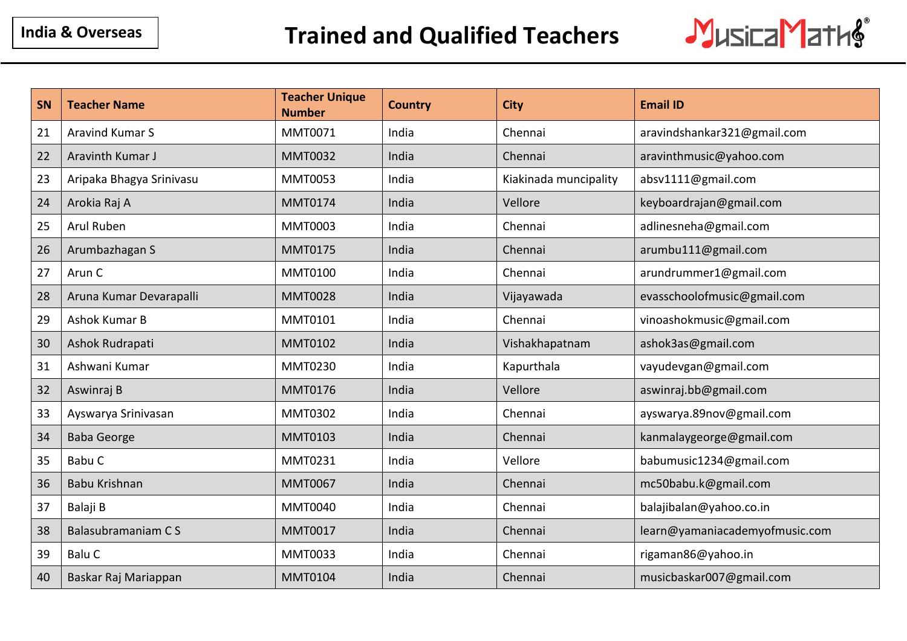

| SN | <b>Teacher Name</b>      | <b>Teacher Unique</b><br><b>Number</b> | <b>Country</b> | <b>City</b>           | <b>Email ID</b>                |
|----|--------------------------|----------------------------------------|----------------|-----------------------|--------------------------------|
| 21 | <b>Aravind Kumar S</b>   | MMT0071                                | India          | Chennai               | aravindshankar321@gmail.com    |
| 22 | Aravinth Kumar J         | <b>MMT0032</b>                         | India          | Chennai               | aravinthmusic@yahoo.com        |
| 23 | Aripaka Bhagya Srinivasu | <b>MMT0053</b>                         | India          | Kiakinada muncipality | absv1111@gmail.com             |
| 24 | Arokia Raj A             | <b>MMT0174</b>                         | India          | Vellore               | keyboardrajan@gmail.com        |
| 25 | Arul Ruben               | <b>MMT0003</b>                         | India          | Chennai               | adlinesneha@gmail.com          |
| 26 | Arumbazhagan S           | <b>MMT0175</b>                         | India          | Chennai               | arumbu111@gmail.com            |
| 27 | Arun C                   | <b>MMT0100</b>                         | India          | Chennai               | arundrummer1@gmail.com         |
| 28 | Aruna Kumar Devarapalli  | <b>MMT0028</b>                         | India          | Vijayawada            | evasschoolofmusic@gmail.com    |
| 29 | Ashok Kumar B            | <b>MMT0101</b>                         | India          | Chennai               | vinoashokmusic@gmail.com       |
| 30 | Ashok Rudrapati          | <b>MMT0102</b>                         | India          | Vishakhapatnam        | ashok3as@gmail.com             |
| 31 | Ashwani Kumar            | MMT0230                                | India          | Kapurthala            | vayudevgan@gmail.com           |
| 32 | Aswinraj B               | <b>MMT0176</b>                         | India          | Vellore               | aswinraj.bb@gmail.com          |
| 33 | Ayswarya Srinivasan      | MMT0302                                | India          | Chennai               | ayswarya.89nov@gmail.com       |
| 34 | <b>Baba George</b>       | <b>MMT0103</b>                         | India          | Chennai               | kanmalaygeorge@gmail.com       |
| 35 | Babu C                   | MMT0231                                | India          | Vellore               | babumusic1234@gmail.com        |
| 36 | Babu Krishnan            | <b>MMT0067</b>                         | India          | Chennai               | mc50babu.k@gmail.com           |
| 37 | Balaji B                 | <b>MMT0040</b>                         | India          | Chennai               | balajibalan@yahoo.co.in        |
| 38 | Balasubramaniam CS       | <b>MMT0017</b>                         | India          | Chennai               | learn@yamaniacademyofmusic.com |
| 39 | Balu C                   | <b>MMT0033</b>                         | India          | Chennai               | rigaman86@yahoo.in             |
| 40 | Baskar Raj Mariappan     | <b>MMT0104</b>                         | India          | Chennai               | musicbaskar007@gmail.com       |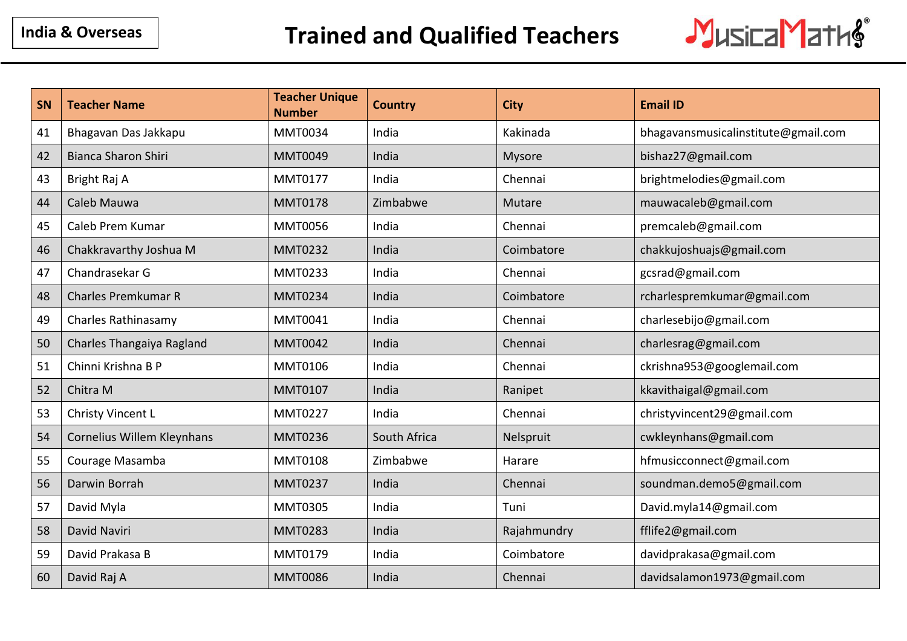

| SN | <b>Teacher Name</b>        | <b>Teacher Unique</b><br><b>Number</b> | <b>Country</b> | <b>City</b> | <b>Email ID</b>                     |
|----|----------------------------|----------------------------------------|----------------|-------------|-------------------------------------|
| 41 | Bhagavan Das Jakkapu       | <b>MMT0034</b>                         | India          | Kakinada    | bhagavansmusicalinstitute@gmail.com |
| 42 | <b>Bianca Sharon Shiri</b> | <b>MMT0049</b>                         | India          | Mysore      | bishaz27@gmail.com                  |
| 43 | Bright Raj A               | <b>MMT0177</b>                         | India          | Chennai     | brightmelodies@gmail.com            |
| 44 | Caleb Mauwa                | <b>MMT0178</b>                         | Zimbabwe       | Mutare      | mauwacaleb@gmail.com                |
| 45 | Caleb Prem Kumar           | <b>MMT0056</b>                         | India          | Chennai     | premcaleb@gmail.com                 |
| 46 | Chakkravarthy Joshua M     | <b>MMT0232</b>                         | India          | Coimbatore  | chakkujoshuajs@gmail.com            |
| 47 | Chandrasekar G             | <b>MMT0233</b>                         | India          | Chennai     | gcsrad@gmail.com                    |
| 48 | <b>Charles Premkumar R</b> | <b>MMT0234</b>                         | India          | Coimbatore  | rcharlespremkumar@gmail.com         |
| 49 | Charles Rathinasamy        | <b>MMT0041</b>                         | India          | Chennai     | charlesebijo@gmail.com              |
| 50 | Charles Thangaiya Ragland  | <b>MMT0042</b>                         | India          | Chennai     | charlesrag@gmail.com                |
| 51 | Chinni Krishna B P         | <b>MMT0106</b>                         | India          | Chennai     | ckrishna953@googlemail.com          |
| 52 | Chitra M                   | <b>MMT0107</b>                         | India          | Ranipet     | kkavithaigal@gmail.com              |
| 53 | Christy Vincent L          | <b>MMT0227</b>                         | India          | Chennai     | christyvincent29@gmail.com          |
| 54 | Cornelius Willem Kleynhans | <b>MMT0236</b>                         | South Africa   | Nelspruit   | cwkleynhans@gmail.com               |
| 55 | Courage Masamba            | <b>MMT0108</b>                         | Zimbabwe       | Harare      | hfmusicconnect@gmail.com            |
| 56 | Darwin Borrah              | <b>MMT0237</b>                         | India          | Chennai     | soundman.demo5@gmail.com            |
| 57 | David Myla                 | <b>MMT0305</b>                         | India          | Tuni        | David.myla14@gmail.com              |
| 58 | David Naviri               | <b>MMT0283</b>                         | India          | Rajahmundry | fflife2@gmail.com                   |
| 59 | David Prakasa B            | <b>MMT0179</b>                         | India          | Coimbatore  | davidprakasa@gmail.com              |
| 60 | David Raj A                | <b>MMT0086</b>                         | India          | Chennai     | davidsalamon1973@gmail.com          |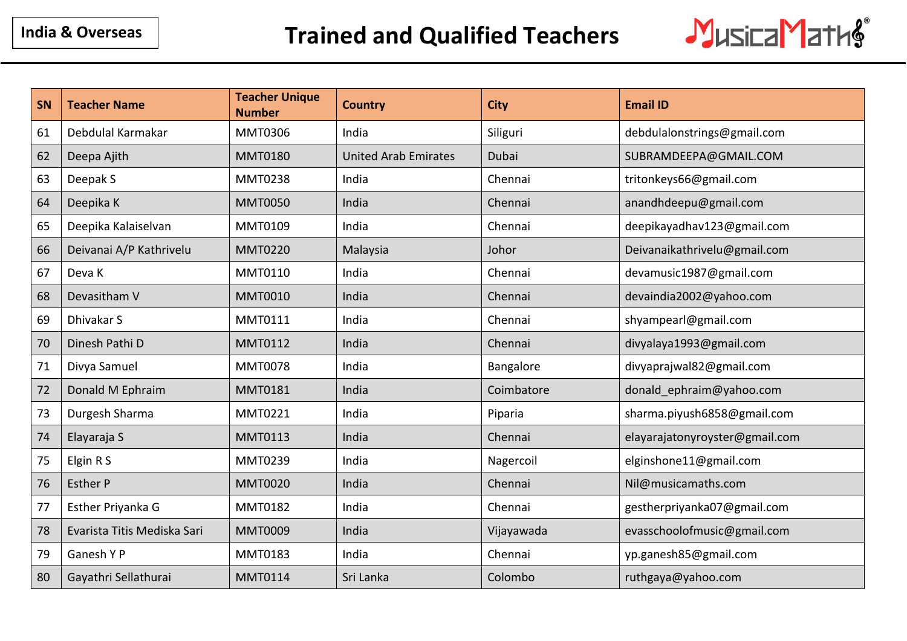

| <b>SN</b> | <b>Teacher Name</b>         | <b>Teacher Unique</b><br><b>Number</b> | <b>Country</b>              | <b>City</b> | <b>Email ID</b>                |
|-----------|-----------------------------|----------------------------------------|-----------------------------|-------------|--------------------------------|
| 61        | Debdulal Karmakar           | <b>MMT0306</b>                         | India                       | Siliguri    | debdulalonstrings@gmail.com    |
| 62        | Deepa Ajith                 | <b>MMT0180</b>                         | <b>United Arab Emirates</b> | Dubai       | SUBRAMDEEPA@GMAIL.COM          |
| 63        | Deepak S                    | <b>MMT0238</b>                         | India                       | Chennai     | tritonkeys66@gmail.com         |
| 64        | Deepika K                   | <b>MMT0050</b>                         | India                       | Chennai     | anandhdeepu@gmail.com          |
| 65        | Deepika Kalaiselvan         | <b>MMT0109</b>                         | India                       | Chennai     | deepikayadhav123@gmail.com     |
| 66        | Deivanai A/P Kathrivelu     | <b>MMT0220</b>                         | Malaysia                    | Johor       | Deivanaikathrivelu@gmail.com   |
| 67        | Deva K                      | <b>MMT0110</b>                         | India                       | Chennai     | devamusic1987@gmail.com        |
| 68        | Devasitham V                | <b>MMT0010</b>                         | India                       | Chennai     | devaindia2002@yahoo.com        |
| 69        | Dhivakar S                  | <b>MMT0111</b>                         | India                       | Chennai     | shyampearl@gmail.com           |
| 70        | Dinesh Pathi D              | <b>MMT0112</b>                         | India                       | Chennai     | divyalaya1993@gmail.com        |
| 71        | Divya Samuel                | <b>MMT0078</b>                         | India                       | Bangalore   | divyaprajwal82@gmail.com       |
| 72        | Donald M Ephraim            | <b>MMT0181</b>                         | India                       | Coimbatore  | donald ephraim@yahoo.com       |
| 73        | Durgesh Sharma              | <b>MMT0221</b>                         | India                       | Piparia     | sharma.piyush6858@gmail.com    |
| 74        | Elayaraja S                 | <b>MMT0113</b>                         | India                       | Chennai     | elayarajatonyroyster@gmail.com |
| 75        | Elgin R S                   | <b>MMT0239</b>                         | India                       | Nagercoil   | elginshone11@gmail.com         |
| 76        | <b>Esther P</b>             | <b>MMT0020</b>                         | India                       | Chennai     | Nil@musicamaths.com            |
| 77        | Esther Priyanka G           | <b>MMT0182</b>                         | India                       | Chennai     | gestherpriyanka07@gmail.com    |
| 78        | Evarista Titis Mediska Sari | <b>MMT0009</b>                         | India                       | Vijayawada  | evasschoolofmusic@gmail.com    |
| 79        | Ganesh Y P                  | MMT0183                                | India                       | Chennai     | yp.ganesh85@gmail.com          |
| 80        | Gayathri Sellathurai        | <b>MMT0114</b>                         | Sri Lanka                   | Colombo     | ruthgaya@yahoo.com             |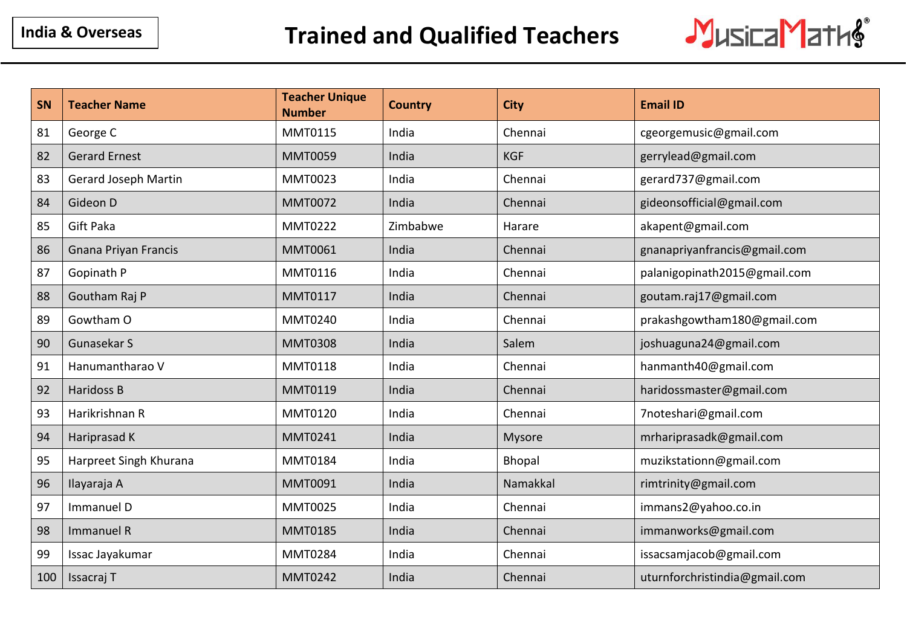

| <b>SN</b> | <b>Teacher Name</b>         | <b>Teacher Unique</b><br><b>Number</b> | <b>Country</b> | <b>City</b> | <b>Email ID</b>               |
|-----------|-----------------------------|----------------------------------------|----------------|-------------|-------------------------------|
| 81        | George C                    | <b>MMT0115</b>                         | India          | Chennai     | cgeorgemusic@gmail.com        |
| 82        | <b>Gerard Ernest</b>        | <b>MMT0059</b>                         | India          | <b>KGF</b>  | gerrylead@gmail.com           |
| 83        | <b>Gerard Joseph Martin</b> | <b>MMT0023</b>                         | India          | Chennai     | gerard737@gmail.com           |
| 84        | Gideon D                    | <b>MMT0072</b>                         | India          | Chennai     | gideonsofficial@gmail.com     |
| 85        | <b>Gift Paka</b>            | <b>MMT0222</b>                         | Zimbabwe       | Harare      | akapent@gmail.com             |
| 86        | <b>Gnana Priyan Francis</b> | <b>MMT0061</b>                         | India          | Chennai     | gnanapriyanfrancis@gmail.com  |
| 87        | Gopinath P                  | <b>MMT0116</b>                         | India          | Chennai     | palanigopinath2015@gmail.com  |
| 88        | Goutham Raj P               | <b>MMT0117</b>                         | India          | Chennai     | goutam.raj17@gmail.com        |
| 89        | Gowtham O                   | <b>MMT0240</b>                         | India          | Chennai     | prakashgowtham180@gmail.com   |
| 90        | Gunasekar S                 | <b>MMT0308</b>                         | India          | Salem       | joshuaguna24@gmail.com        |
| 91        | Hanumantharao V             | <b>MMT0118</b>                         | India          | Chennai     | hanmanth40@gmail.com          |
| 92        | <b>Haridoss B</b>           | <b>MMT0119</b>                         | India          | Chennai     | haridossmaster@gmail.com      |
| 93        | Harikrishnan R              | <b>MMT0120</b>                         | India          | Chennai     | 7noteshari@gmail.com          |
| 94        | Hariprasad K                | <b>MMT0241</b>                         | India          | Mysore      | mrhariprasadk@gmail.com       |
| 95        | Harpreet Singh Khurana      | <b>MMT0184</b>                         | India          | Bhopal      | muzikstationn@gmail.com       |
| 96        | Ilayaraja A                 | <b>MMT0091</b>                         | India          | Namakkal    | rimtrinity@gmail.com          |
| 97        | Immanuel D                  | <b>MMT0025</b>                         | India          | Chennai     | immans2@yahoo.co.in           |
| 98        | Immanuel R                  | <b>MMT0185</b>                         | India          | Chennai     | immanworks@gmail.com          |
| 99        | Issac Jayakumar             | <b>MMT0284</b>                         | India          | Chennai     | issacsamjacob@gmail.com       |
| 100       | Issacraj T                  | <b>MMT0242</b>                         | India          | Chennai     | uturnforchristindia@gmail.com |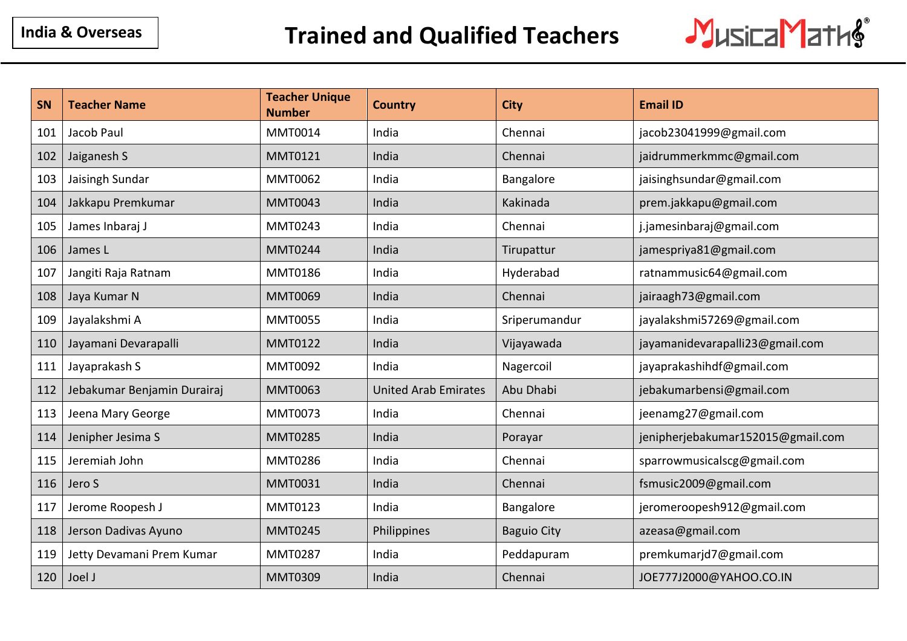

| SN  | <b>Teacher Name</b>         | <b>Teacher Unique</b><br><b>Number</b> | <b>Country</b>              | <b>City</b>        | <b>Email ID</b>                   |
|-----|-----------------------------|----------------------------------------|-----------------------------|--------------------|-----------------------------------|
| 101 | Jacob Paul                  | <b>MMT0014</b>                         | India                       | Chennai            | jacob23041999@gmail.com           |
| 102 | Jaiganesh S                 | <b>MMT0121</b>                         | India                       | Chennai            | jaidrummerkmmc@gmail.com          |
| 103 | Jaisingh Sundar             | <b>MMT0062</b>                         | India                       | Bangalore          | jaisinghsundar@gmail.com          |
| 104 | Jakkapu Premkumar           | <b>MMT0043</b>                         | India                       | Kakinada           | prem.jakkapu@gmail.com            |
| 105 | James Inbaraj J             | <b>MMT0243</b>                         | India                       | Chennai            | j.jamesinbaraj@gmail.com          |
| 106 | James L                     | <b>MMT0244</b>                         | India                       | Tirupattur         | jamespriya81@gmail.com            |
| 107 | Jangiti Raja Ratnam         | <b>MMT0186</b>                         | India                       | Hyderabad          | ratnammusic64@gmail.com           |
| 108 | Jaya Kumar N                | <b>MMT0069</b>                         | India                       | Chennai            | jairaagh73@gmail.com              |
| 109 | Jayalakshmi A               | <b>MMT0055</b>                         | India                       | Sriperumandur      | jayalakshmi57269@gmail.com        |
| 110 | Jayamani Devarapalli        | <b>MMT0122</b>                         | India                       | Vijayawada         | jayamanidevarapalli23@gmail.com   |
| 111 | Jayaprakash S               | <b>MMT0092</b>                         | India                       | Nagercoil          | jayaprakashihdf@gmail.com         |
| 112 | Jebakumar Benjamin Durairaj | <b>MMT0063</b>                         | <b>United Arab Emirates</b> | Abu Dhabi          | jebakumarbensi@gmail.com          |
| 113 | Jeena Mary George           | <b>MMT0073</b>                         | India                       | Chennai            | jeenamg27@gmail.com               |
| 114 | Jenipher Jesima S           | <b>MMT0285</b>                         | India                       | Porayar            | jenipherjebakumar152015@gmail.com |
| 115 | Jeremiah John               | <b>MMT0286</b>                         | India                       | Chennai            | sparrowmusicalscg@gmail.com       |
| 116 | Jero S                      | <b>MMT0031</b>                         | India                       | Chennai            | fsmusic2009@gmail.com             |
| 117 | Jerome Roopesh J            | <b>MMT0123</b>                         | India                       | Bangalore          | jeromeroopesh912@gmail.com        |
| 118 | Jerson Dadivas Ayuno        | <b>MMT0245</b>                         | Philippines                 | <b>Baguio City</b> | azeasa@gmail.com                  |
| 119 | Jetty Devamani Prem Kumar   | <b>MMT0287</b>                         | India                       | Peddapuram         | premkumarjd7@gmail.com            |
| 120 | Joel J                      | <b>MMT0309</b>                         | India                       | Chennai            | JOE777J2000@YAHOO.CO.IN           |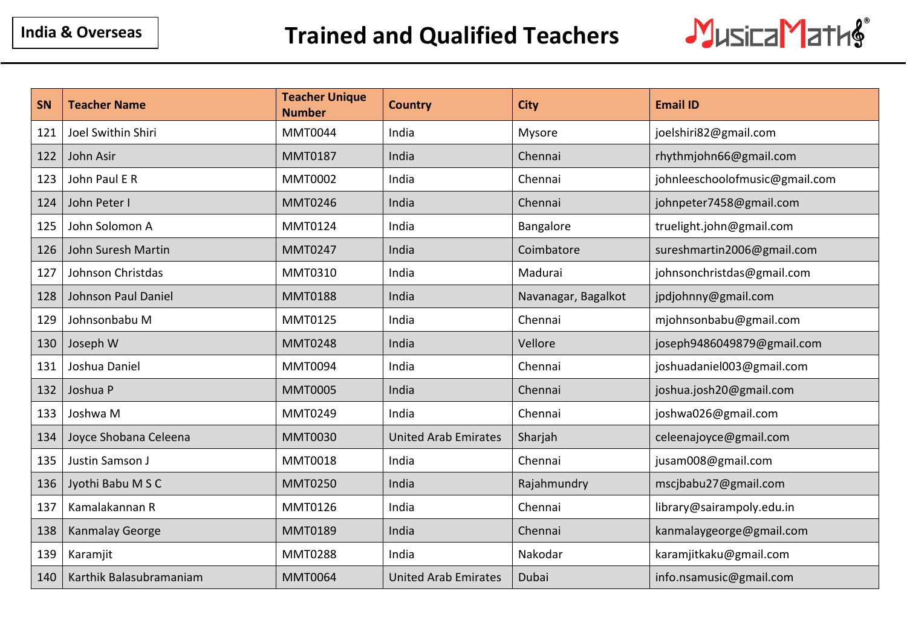

| <b>SN</b> | <b>Teacher Name</b>     | <b>Teacher Unique</b><br><b>Number</b> | <b>Country</b>              | <b>City</b>         | <b>Email ID</b>                |
|-----------|-------------------------|----------------------------------------|-----------------------------|---------------------|--------------------------------|
| 121       | Joel Swithin Shiri      | <b>MMT0044</b>                         | India                       | Mysore              | joelshiri82@gmail.com          |
| 122       | John Asir               | <b>MMT0187</b>                         | India                       | Chennai             | rhythmjohn66@gmail.com         |
| 123       | John Paul E R           | <b>MMT0002</b>                         | India                       | Chennai             | johnleeschoolofmusic@gmail.com |
| 124       | John Peter I            | <b>MMT0246</b>                         | India                       | Chennai             | johnpeter7458@gmail.com        |
| 125       | John Solomon A          | MMT0124                                | India                       | Bangalore           | truelight.john@gmail.com       |
| 126       | John Suresh Martin      | <b>MMT0247</b>                         | India                       | Coimbatore          | sureshmartin2006@gmail.com     |
| 127       | Johnson Christdas       | MMT0310                                | India                       | Madurai             | johnsonchristdas@gmail.com     |
| 128       | Johnson Paul Daniel     | <b>MMT0188</b>                         | India                       | Navanagar, Bagalkot | jpdjohnny@gmail.com            |
| 129       | Johnsonbabu M           | MMT0125                                | India                       | Chennai             | mjohnsonbabu@gmail.com         |
| 130       | Joseph W                | <b>MMT0248</b>                         | India                       | Vellore             | joseph9486049879@gmail.com     |
| 131       | Joshua Daniel           | <b>MMT0094</b>                         | India                       | Chennai             | joshuadaniel003@gmail.com      |
| 132       | Joshua P                | <b>MMT0005</b>                         | India                       | Chennai             | joshua.josh20@gmail.com        |
| 133       | Joshwa M                | <b>MMT0249</b>                         | India                       | Chennai             | joshwa026@gmail.com            |
| 134       | Joyce Shobana Celeena   | <b>MMT0030</b>                         | <b>United Arab Emirates</b> | Sharjah             | celeenajoyce@gmail.com         |
| 135       | Justin Samson J         | <b>MMT0018</b>                         | India                       | Chennai             | jusam008@gmail.com             |
| 136       | Jyothi Babu M S C       | <b>MMT0250</b>                         | India                       | Rajahmundry         | mscjbabu27@gmail.com           |
| 137       | Kamalakannan R          | MMT0126                                | India                       | Chennai             | library@sairampoly.edu.in      |
| 138       | <b>Kanmalay George</b>  | <b>MMT0189</b>                         | India                       | Chennai             | kanmalaygeorge@gmail.com       |
| 139       | Karamjit                | <b>MMT0288</b>                         | India                       | Nakodar             | karamjitkaku@gmail.com         |
| 140       | Karthik Balasubramaniam | <b>MMT0064</b>                         | <b>United Arab Emirates</b> | Dubai               | info.nsamusic@gmail.com        |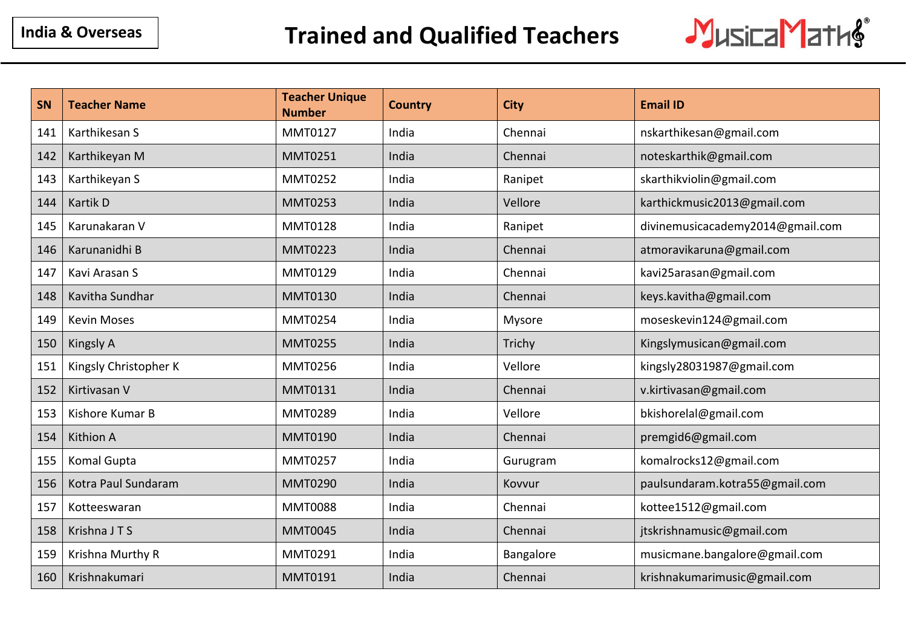

| SN  | <b>Teacher Name</b>   | <b>Teacher Unique</b><br><b>Number</b> | <b>Country</b> | <b>City</b> | <b>Email ID</b>                  |
|-----|-----------------------|----------------------------------------|----------------|-------------|----------------------------------|
| 141 | Karthikesan S         | <b>MMT0127</b>                         | India          | Chennai     | nskarthikesan@gmail.com          |
| 142 | Karthikeyan M         | <b>MMT0251</b>                         | India          | Chennai     | noteskarthik@gmail.com           |
| 143 | Karthikeyan S         | <b>MMT0252</b>                         | India          | Ranipet     | skarthikviolin@gmail.com         |
| 144 | Kartik D              | <b>MMT0253</b>                         | India          | Vellore     | karthickmusic2013@gmail.com      |
| 145 | Karunakaran V         | <b>MMT0128</b>                         | India          | Ranipet     | divinemusicacademy2014@gmail.com |
| 146 | Karunanidhi B         | <b>MMT0223</b>                         | India          | Chennai     | atmoravikaruna@gmail.com         |
| 147 | Kavi Arasan S         | <b>MMT0129</b>                         | India          | Chennai     | kavi25arasan@gmail.com           |
| 148 | Kavitha Sundhar       | <b>MMT0130</b>                         | India          | Chennai     | keys.kavitha@gmail.com           |
| 149 | <b>Kevin Moses</b>    | <b>MMT0254</b>                         | India          | Mysore      | moseskevin124@gmail.com          |
| 150 | Kingsly A             | <b>MMT0255</b>                         | India          | Trichy      | Kingslymusican@gmail.com         |
| 151 | Kingsly Christopher K | <b>MMT0256</b>                         | India          | Vellore     | kingsly28031987@gmail.com        |
| 152 | Kirtivasan V          | <b>MMT0131</b>                         | India          | Chennai     | v.kirtivasan@gmail.com           |
| 153 | Kishore Kumar B       | <b>MMT0289</b>                         | India          | Vellore     | bkishorelal@gmail.com            |
| 154 | <b>Kithion A</b>      | <b>MMT0190</b>                         | India          | Chennai     | premgid6@gmail.com               |
| 155 | Komal Gupta           | <b>MMT0257</b>                         | India          | Gurugram    | komalrocks12@gmail.com           |
| 156 | Kotra Paul Sundaram   | <b>MMT0290</b>                         | India          | Kovvur      | paulsundaram.kotra55@gmail.com   |
| 157 | Kotteeswaran          | <b>MMT0088</b>                         | India          | Chennai     | kottee1512@gmail.com             |
| 158 | Krishna JTS           | <b>MMT0045</b>                         | India          | Chennai     | jtskrishnamusic@gmail.com        |
| 159 | Krishna Murthy R      | MMT0291                                | India          | Bangalore   | musicmane.bangalore@gmail.com    |
| 160 | Krishnakumari         | MMT0191                                | India          | Chennai     | krishnakumarimusic@gmail.com     |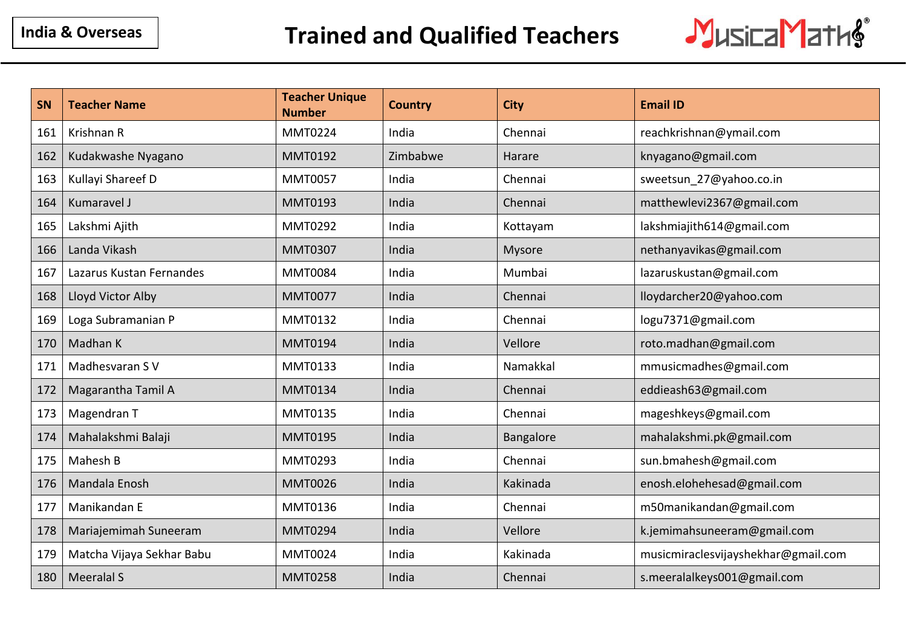

| <b>SN</b> | <b>Teacher Name</b>       | <b>Teacher Unique</b><br><b>Number</b> | <b>Country</b> | <b>City</b> | <b>Email ID</b>                     |
|-----------|---------------------------|----------------------------------------|----------------|-------------|-------------------------------------|
| 161       | Krishnan R                | <b>MMT0224</b>                         | India          | Chennai     | reachkrishnan@ymail.com             |
| 162       | Kudakwashe Nyagano        | <b>MMT0192</b>                         | Zimbabwe       | Harare      | knyagano@gmail.com                  |
| 163       | Kullayi Shareef D         | <b>MMT0057</b>                         | India          | Chennai     | sweetsun_27@yahoo.co.in             |
| 164       | Kumaravel J               | <b>MMT0193</b>                         | India          | Chennai     | matthewlevi2367@gmail.com           |
| 165       | Lakshmi Ajith             | <b>MMT0292</b>                         | India          | Kottayam    | lakshmiajith614@gmail.com           |
| 166       | Landa Vikash              | <b>MMT0307</b>                         | India          | Mysore      | nethanyavikas@gmail.com             |
| 167       | Lazarus Kustan Fernandes  | <b>MMT0084</b>                         | India          | Mumbai      | lazaruskustan@gmail.com             |
| 168       | Lloyd Victor Alby         | <b>MMT0077</b>                         | India          | Chennai     | lloydarcher20@yahoo.com             |
| 169       | Loga Subramanian P        | MMT0132                                | India          | Chennai     | logu7371@gmail.com                  |
| 170       | Madhan K                  | <b>MMT0194</b>                         | India          | Vellore     | roto.madhan@gmail.com               |
| 171       | Madhesvaran S V           | MMT0133                                | India          | Namakkal    | mmusicmadhes@gmail.com              |
| 172       | Magarantha Tamil A        | <b>MMT0134</b>                         | India          | Chennai     | eddieash63@gmail.com                |
| 173       | Magendran T               | MMT0135                                | India          | Chennai     | mageshkeys@gmail.com                |
| 174       | Mahalakshmi Balaji        | <b>MMT0195</b>                         | India          | Bangalore   | mahalakshmi.pk@gmail.com            |
| 175       | Mahesh B                  | MMT0293                                | India          | Chennai     | sun.bmahesh@gmail.com               |
| 176       | Mandala Enosh             | <b>MMT0026</b>                         | India          | Kakinada    | enosh.elohehesad@gmail.com          |
| 177       | Manikandan E              | MMT0136                                | India          | Chennai     | m50manikandan@gmail.com             |
| 178       | Mariajemimah Suneeram     | <b>MMT0294</b>                         | India          | Vellore     | k.jemimahsuneeram@gmail.com         |
| 179       | Matcha Vijaya Sekhar Babu | <b>MMT0024</b>                         | India          | Kakinada    | musicmiraclesvijayshekhar@gmail.com |
| 180       | Meeralal S                | <b>MMT0258</b>                         | India          | Chennai     | s.meeralalkeys001@gmail.com         |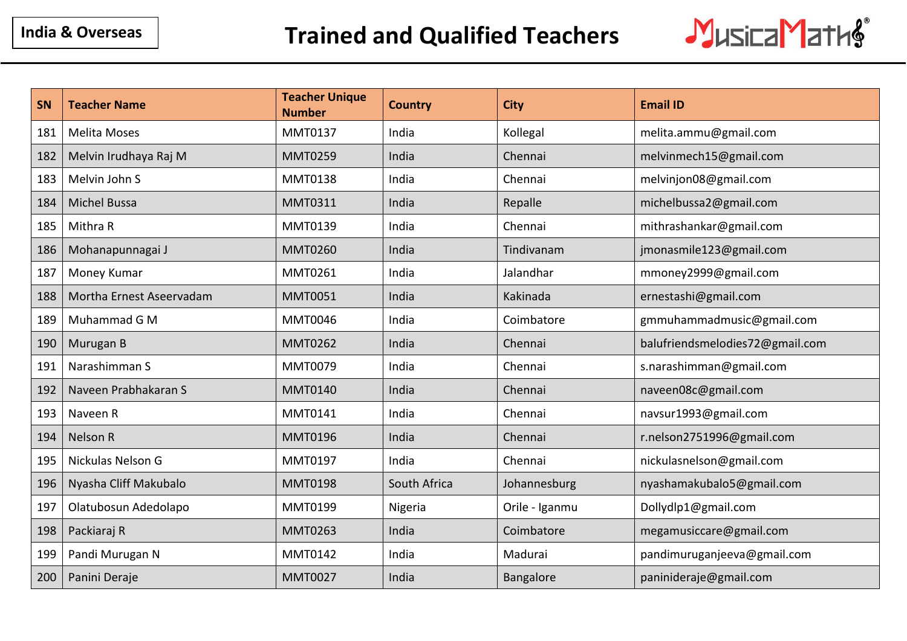

| SN  | <b>Teacher Name</b>      | <b>Teacher Unique</b><br><b>Number</b> | <b>Country</b> | <b>City</b>    | <b>Email ID</b>                 |
|-----|--------------------------|----------------------------------------|----------------|----------------|---------------------------------|
| 181 | <b>Melita Moses</b>      | MMT0137                                | India          | Kollegal       | melita.ammu@gmail.com           |
| 182 | Melvin Irudhaya Raj M    | <b>MMT0259</b>                         | India          | Chennai        | melvinmech15@gmail.com          |
| 183 | Melvin John S            | <b>MMT0138</b>                         | India          | Chennai        | melvinjon08@gmail.com           |
| 184 | <b>Michel Bussa</b>      | <b>MMT0311</b>                         | India          | Repalle        | michelbussa2@gmail.com          |
| 185 | Mithra R                 | MMT0139                                | India          | Chennai        | mithrashankar@gmail.com         |
| 186 | Mohanapunnagai J         | <b>MMT0260</b>                         | India          | Tindivanam     | jmonasmile123@gmail.com         |
| 187 | Money Kumar              | <b>MMT0261</b>                         | India          | Jalandhar      | mmoney2999@gmail.com            |
| 188 | Mortha Ernest Aseervadam | <b>MMT0051</b>                         | India          | Kakinada       | ernestashi@gmail.com            |
| 189 | Muhammad G M             | <b>MMT0046</b>                         | India          | Coimbatore     | gmmuhammadmusic@gmail.com       |
| 190 | Murugan B                | <b>MMT0262</b>                         | India          | Chennai        | balufriendsmelodies72@gmail.com |
| 191 | Narashimman S            | <b>MMT0079</b>                         | India          | Chennai        | s.narashimman@gmail.com         |
| 192 | Naveen Prabhakaran S     | <b>MMT0140</b>                         | India          | Chennai        | naveen08c@gmail.com             |
| 193 | Naveen R                 | MMT0141                                | India          | Chennai        | navsur1993@gmail.com            |
| 194 | Nelson R                 | <b>MMT0196</b>                         | India          | Chennai        | r.nelson2751996@gmail.com       |
| 195 | Nickulas Nelson G        | MMT0197                                | India          | Chennai        | nickulasnelson@gmail.com        |
| 196 | Nyasha Cliff Makubalo    | <b>MMT0198</b>                         | South Africa   | Johannesburg   | nyashamakubalo5@gmail.com       |
| 197 | Olatubosun Adedolapo     | <b>MMT0199</b>                         | Nigeria        | Orile - Iganmu | Dollydlp1@gmail.com             |
| 198 | Packiaraj R              | <b>MMT0263</b>                         | India          | Coimbatore     | megamusiccare@gmail.com         |
| 199 | Pandi Murugan N          | MMT0142                                | India          | Madurai        | pandimuruganjeeva@gmail.com     |
| 200 | Panini Deraje            | <b>MMT0027</b>                         | India          | Bangalore      | paninideraje@gmail.com          |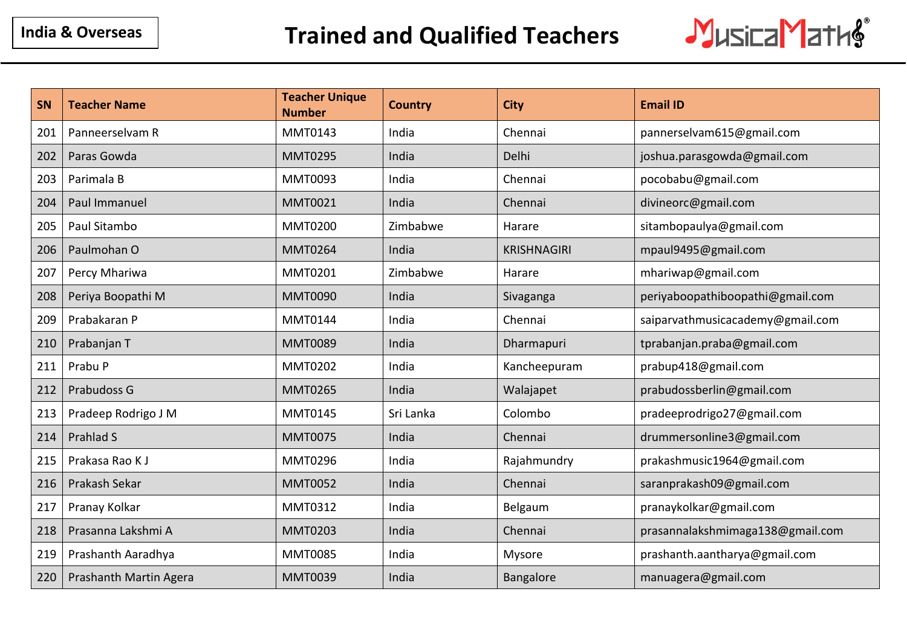

| SN  | <b>Teacher Name</b>    | <b>Teacher Unique</b><br><b>Number</b> | <b>Country</b> | <b>City</b>        | <b>Email ID</b>                  |
|-----|------------------------|----------------------------------------|----------------|--------------------|----------------------------------|
| 201 | Panneerselvam R        | MMT0143                                | India          | Chennai            | pannerselvam615@gmail.com        |
| 202 | Paras Gowda            | <b>MMT0295</b>                         | India          | Delhi              | joshua.parasgowda@gmail.com      |
| 203 | Parimala B             | MMT0093                                | India          | Chennai            | pocobabu@gmail.com               |
| 204 | Paul Immanuel          | <b>MMT0021</b>                         | India          | Chennai            | divineorc@gmail.com              |
| 205 | Paul Sitambo           | <b>MMT0200</b>                         | Zimbabwe       | Harare             | sitambopaulya@gmail.com          |
| 206 | Paulmohan O            | <b>MMT0264</b>                         | India          | <b>KRISHNAGIRI</b> | mpaul9495@gmail.com              |
| 207 | Percy Mhariwa          | <b>MMT0201</b>                         | Zimbabwe       | Harare             | mhariwap@gmail.com               |
| 208 | Periya Boopathi M      | <b>MMT0090</b>                         | India          | Sivaganga          | periyaboopathiboopathi@gmail.com |
| 209 | Prabakaran P           | <b>MMT0144</b>                         | India          | Chennai            | saiparvathmusicacademy@gmail.com |
| 210 | Prabanjan T            | <b>MMT0089</b>                         | India          | Dharmapuri         | tprabanjan.praba@gmail.com       |
| 211 | Prabu P                | <b>MMT0202</b>                         | India          | Kancheepuram       | prabup418@gmail.com              |
| 212 | Prabudoss G            | <b>MMT0265</b>                         | India          | Walajapet          | prabudossberlin@gmail.com        |
| 213 | Pradeep Rodrigo J M    | <b>MMT0145</b>                         | Sri Lanka      | Colombo            | pradeeprodrigo27@gmail.com       |
| 214 | Prahlad S              | <b>MMT0075</b>                         | India          | Chennai            | drummersonline3@gmail.com        |
| 215 | Prakasa Rao K J        | <b>MMT0296</b>                         | India          | Rajahmundry        | prakashmusic1964@gmail.com       |
| 216 | Prakash Sekar          | <b>MMT0052</b>                         | India          | Chennai            | saranprakash09@gmail.com         |
| 217 | Pranay Kolkar          | MMT0312                                | India          | Belgaum            | pranaykolkar@gmail.com           |
| 218 | Prasanna Lakshmi A     | <b>MMT0203</b>                         | India          | Chennai            | prasannalakshmimaga138@gmail.com |
| 219 | Prashanth Aaradhya     | <b>MMT0085</b>                         | India          | Mysore             | prashanth.aantharya@gmail.com    |
| 220 | Prashanth Martin Agera | <b>MMT0039</b>                         | India          | Bangalore          | manuagera@gmail.com              |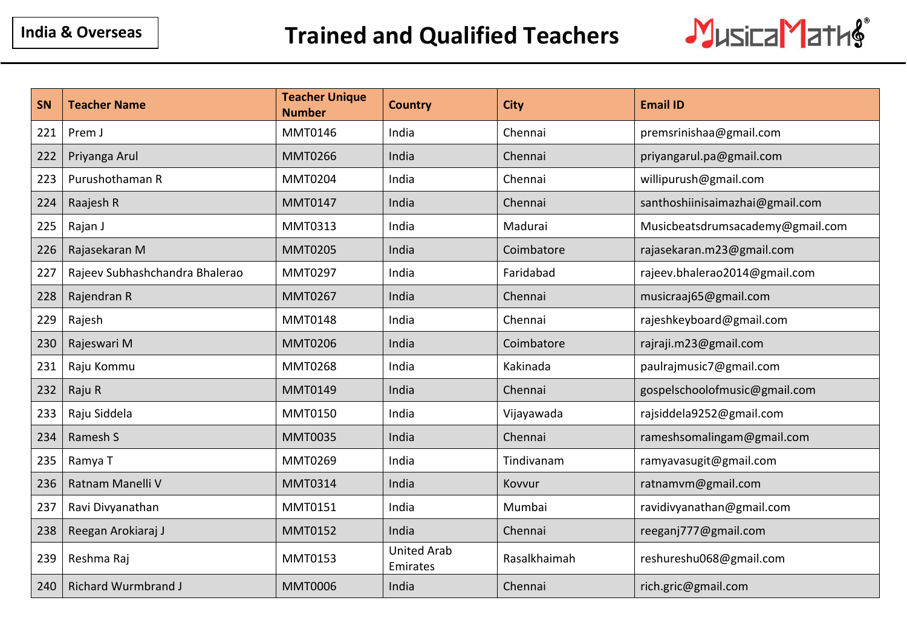

| SN  | <b>Teacher Name</b>            | <b>Teacher Unique</b><br><b>Number</b> | <b>Country</b>                 | <b>City</b>  | <b>Email ID</b>                  |
|-----|--------------------------------|----------------------------------------|--------------------------------|--------------|----------------------------------|
| 221 | Prem J                         | <b>MMT0146</b>                         | India                          | Chennai      | premsrinishaa@gmail.com          |
| 222 | Priyanga Arul                  | <b>MMT0266</b>                         | India                          | Chennai      | priyangarul.pa@gmail.com         |
| 223 | Purushothaman R                | <b>MMT0204</b>                         | India                          | Chennai      | willipurush@gmail.com            |
| 224 | Raajesh R                      | <b>MMT0147</b>                         | India                          | Chennai      | santhoshiinisaimazhai@gmail.com  |
| 225 | Rajan J                        | MMT0313                                | India                          | Madurai      | Musicbeatsdrumsacademy@gmail.com |
| 226 | Rajasekaran M                  | <b>MMT0205</b>                         | India                          | Coimbatore   | rajasekaran.m23@gmail.com        |
| 227 | Rajeev Subhashchandra Bhalerao | <b>MMT0297</b>                         | India                          | Faridabad    | rajeev.bhalerao2014@gmail.com    |
| 228 | Rajendran R                    | <b>MMT0267</b>                         | India                          | Chennai      | musicraaj65@gmail.com            |
| 229 | Rajesh                         | <b>MMT0148</b>                         | India                          | Chennai      | rajeshkeyboard@gmail.com         |
| 230 | Rajeswari M                    | <b>MMT0206</b>                         | India                          | Coimbatore   | rajraji.m23@gmail.com            |
| 231 | Raju Kommu                     | <b>MMT0268</b>                         | India                          | Kakinada     | paulrajmusic7@gmail.com          |
| 232 | Raju R                         | <b>MMT0149</b>                         | India                          | Chennai      | gospelschoolofmusic@gmail.com    |
| 233 | Raju Siddela                   | <b>MMT0150</b>                         | India                          | Vijayawada   | rajsiddela9252@gmail.com         |
| 234 | Ramesh S                       | <b>MMT0035</b>                         | India                          | Chennai      | rameshsomalingam@gmail.com       |
| 235 | Ramya T                        | MMT0269                                | India                          | Tindivanam   | ramyavasugit@gmail.com           |
| 236 | Ratnam Manelli V               | <b>MMT0314</b>                         | India                          | Kovvur       | ratnamvm@gmail.com               |
| 237 | Ravi Divyanathan               | <b>MMT0151</b>                         | India                          | Mumbai       | ravidivyanathan@gmail.com        |
| 238 | Reegan Arokiaraj J             | <b>MMT0152</b>                         | India                          | Chennai      | reeganj777@gmail.com             |
| 239 | Reshma Raj                     | MMT0153                                | <b>United Arab</b><br>Emirates | Rasalkhaimah | reshureshu068@gmail.com          |
| 240 | <b>Richard Wurmbrand J</b>     | <b>MMT0006</b>                         | India                          | Chennai      | rich.gric@gmail.com              |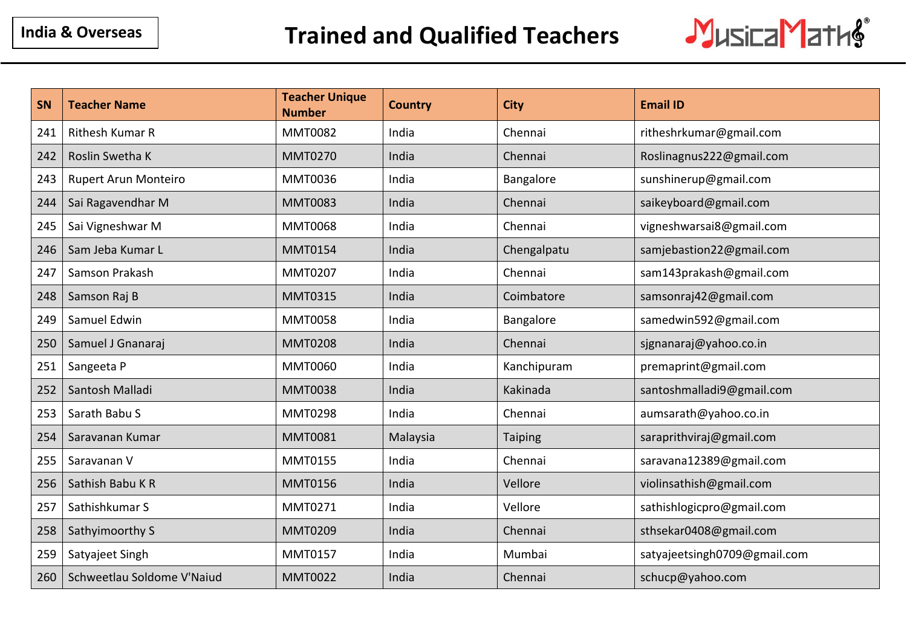

| SN  | <b>Teacher Name</b>        | <b>Teacher Unique</b><br><b>Number</b> | <b>Country</b> | <b>City</b>    | <b>Email ID</b>              |
|-----|----------------------------|----------------------------------------|----------------|----------------|------------------------------|
| 241 | Rithesh Kumar R            | <b>MMT0082</b>                         | India          | Chennai        | ritheshrkumar@gmail.com      |
| 242 | Roslin Swetha K            | <b>MMT0270</b>                         | India          | Chennai        | Roslinagnus222@gmail.com     |
| 243 | Rupert Arun Monteiro       | <b>MMT0036</b>                         | India          | Bangalore      | sunshinerup@gmail.com        |
| 244 | Sai Ragavendhar M          | <b>MMT0083</b>                         | India          | Chennai        | saikeyboard@gmail.com        |
| 245 | Sai Vigneshwar M           | <b>MMT0068</b>                         | India          | Chennai        | vigneshwarsai8@gmail.com     |
| 246 | Sam Jeba Kumar L           | <b>MMT0154</b>                         | India          | Chengalpatu    | samjebastion22@gmail.com     |
| 247 | Samson Prakash             | <b>MMT0207</b>                         | India          | Chennai        | sam143prakash@gmail.com      |
| 248 | Samson Raj B               | <b>MMT0315</b>                         | India          | Coimbatore     | samsonraj42@gmail.com        |
| 249 | Samuel Edwin               | <b>MMT0058</b>                         | India          | Bangalore      | samedwin592@gmail.com        |
| 250 | Samuel J Gnanaraj          | <b>MMT0208</b>                         | India          | Chennai        | sjgnanaraj@yahoo.co.in       |
| 251 | Sangeeta P                 | <b>MMT0060</b>                         | India          | Kanchipuram    | premaprint@gmail.com         |
| 252 | Santosh Malladi            | <b>MMT0038</b>                         | India          | Kakinada       | santoshmalladi9@gmail.com    |
| 253 | Sarath Babu S              | <b>MMT0298</b>                         | India          | Chennai        | aumsarath@yahoo.co.in        |
| 254 | Saravanan Kumar            | <b>MMT0081</b>                         | Malaysia       | <b>Taiping</b> | saraprithviraj@gmail.com     |
| 255 | Saravanan V                | MMT0155                                | India          | Chennai        | saravana12389@gmail.com      |
| 256 | Sathish Babu KR            | <b>MMT0156</b>                         | India          | Vellore        | violinsathish@gmail.com      |
| 257 | Sathishkumar S             | MMT0271                                | India          | Vellore        | sathishlogicpro@gmail.com    |
| 258 | Sathyimoorthy S            | <b>MMT0209</b>                         | India          | Chennai        | sthsekar0408@gmail.com       |
| 259 | Satyajeet Singh            | MMT0157                                | India          | Mumbai         | satyajeetsingh0709@gmail.com |
| 260 | Schweetlau Soldome V'Naiud | <b>MMT0022</b>                         | India          | Chennai        | schucp@yahoo.com             |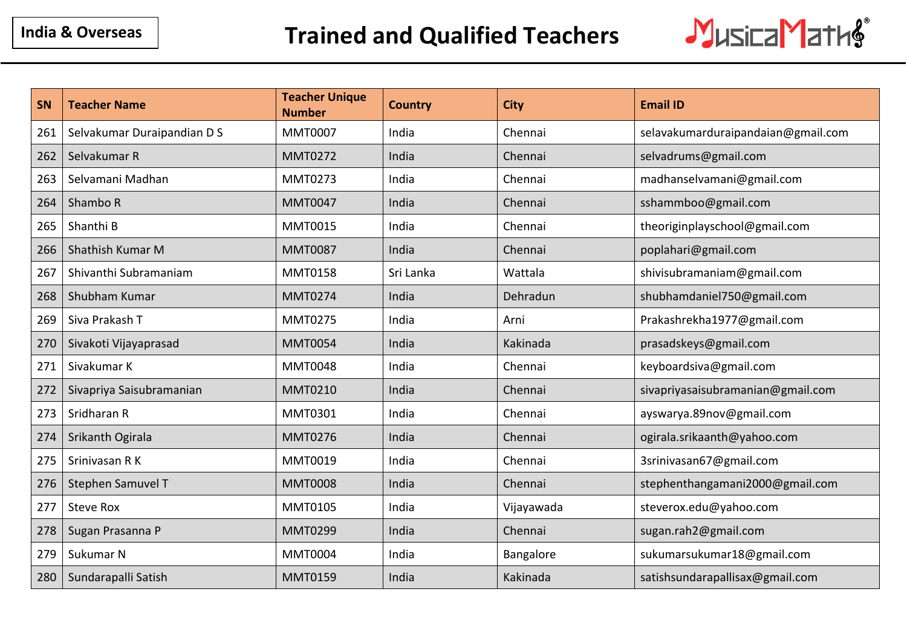

| SN  | <b>Teacher Name</b>         | <b>Teacher Unique</b><br><b>Number</b> | <b>Country</b> | <b>City</b> | <b>Email ID</b>                    |
|-----|-----------------------------|----------------------------------------|----------------|-------------|------------------------------------|
| 261 | Selvakumar Duraipandian D S | <b>MMT0007</b>                         | India          | Chennai     | selavakumarduraipandaian@gmail.com |
| 262 | Selvakumar R                | <b>MMT0272</b>                         | India          | Chennai     | selvadrums@gmail.com               |
| 263 | Selvamani Madhan            | <b>MMT0273</b>                         | India          | Chennai     | madhanselvamani@gmail.com          |
| 264 | Shambo R                    | <b>MMT0047</b>                         | India          | Chennai     | sshammboo@gmail.com                |
| 265 | Shanthi B                   | <b>MMT0015</b>                         | India          | Chennai     | theoriginplayschool@gmail.com      |
| 266 | Shathish Kumar M            | <b>MMT0087</b>                         | India          | Chennai     | poplahari@gmail.com                |
| 267 | Shivanthi Subramaniam       | <b>MMT0158</b>                         | Sri Lanka      | Wattala     | shivisubramaniam@gmail.com         |
| 268 | Shubham Kumar               | <b>MMT0274</b>                         | India          | Dehradun    | shubhamdaniel750@gmail.com         |
| 269 | Siva Prakash T              | <b>MMT0275</b>                         | India          | Arni        | Prakashrekha1977@gmail.com         |
| 270 | Sivakoti Vijayaprasad       | <b>MMT0054</b>                         | India          | Kakinada    | prasadskeys@gmail.com              |
| 271 | Sivakumar K                 | <b>MMT0048</b>                         | India          | Chennai     | keyboardsiva@gmail.com             |
| 272 | Sivapriya Saisubramanian    | <b>MMT0210</b>                         | India          | Chennai     | sivapriyasaisubramanian@gmail.com  |
| 273 | Sridharan R                 | MMT0301                                | India          | Chennai     | ayswarya.89nov@gmail.com           |
| 274 | Srikanth Ogirala            | <b>MMT0276</b>                         | India          | Chennai     | ogirala.srikaanth@yahoo.com        |
| 275 | Srinivasan R K              | <b>MMT0019</b>                         | India          | Chennai     | 3srinivasan67@gmail.com            |
| 276 | Stephen Samuvel T           | <b>MMT0008</b>                         | India          | Chennai     | stephenthangamani2000@gmail.com    |
| 277 | <b>Steve Rox</b>            | <b>MMT0105</b>                         | India          | Vijayawada  | steverox.edu@yahoo.com             |
| 278 | Sugan Prasanna P            | <b>MMT0299</b>                         | India          | Chennai     | sugan.rah2@gmail.com               |
| 279 | Sukumar N                   | <b>MMT0004</b>                         | India          | Bangalore   | sukumarsukumar18@gmail.com         |
| 280 | Sundarapalli Satish         | <b>MMT0159</b>                         | India          | Kakinada    | satishsundarapallisax@gmail.com    |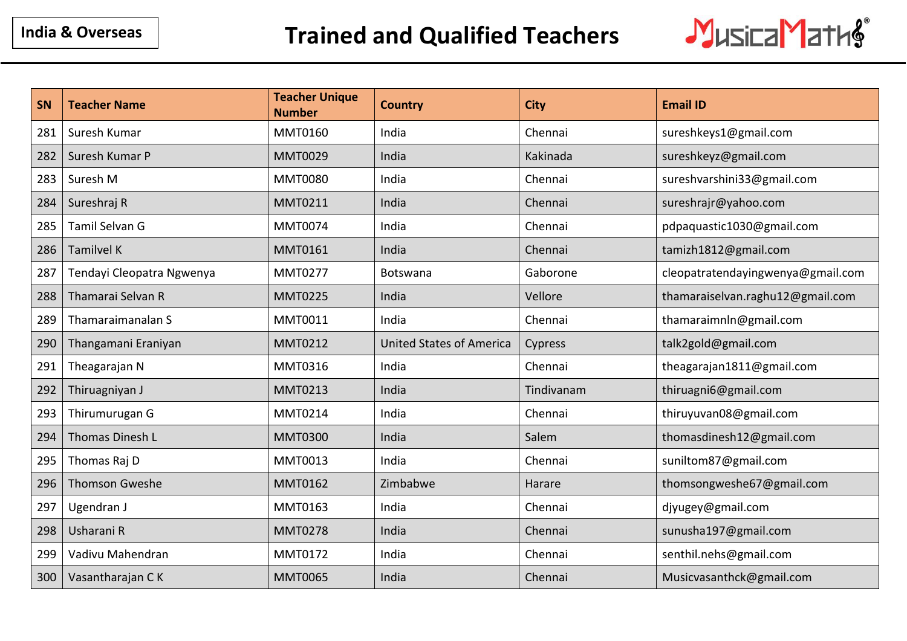

| <b>SN</b> | <b>Teacher Name</b>       | <b>Teacher Unique</b><br><b>Number</b> | <b>Country</b>                  | <b>City</b> | <b>Email ID</b>                   |
|-----------|---------------------------|----------------------------------------|---------------------------------|-------------|-----------------------------------|
| 281       | Suresh Kumar              | <b>MMT0160</b>                         | India                           | Chennai     | sureshkeys1@gmail.com             |
| 282       | Suresh Kumar P            | <b>MMT0029</b>                         | India                           | Kakinada    | sureshkeyz@gmail.com              |
| 283       | Suresh M                  | <b>MMT0080</b>                         | India                           | Chennai     | sureshvarshini33@gmail.com        |
| 284       | Sureshraj R               | <b>MMT0211</b>                         | India                           | Chennai     | sureshrajr@yahoo.com              |
| 285       | Tamil Selvan G            | <b>MMT0074</b>                         | India                           | Chennai     | pdpaquastic1030@gmail.com         |
| 286       | <b>Tamilvel K</b>         | <b>MMT0161</b>                         | India                           | Chennai     | tamizh1812@gmail.com              |
| 287       | Tendayi Cleopatra Ngwenya | <b>MMT0277</b>                         | Botswana                        | Gaborone    | cleopatratendayingwenya@gmail.com |
| 288       | Thamarai Selvan R         | <b>MMT0225</b>                         | India                           | Vellore     | thamaraiselvan.raghu12@gmail.com  |
| 289       | Thamaraimanalan S         | <b>MMT0011</b>                         | India                           | Chennai     | thamaraimnln@gmail.com            |
| 290       | Thangamani Eraniyan       | <b>MMT0212</b>                         | <b>United States of America</b> | Cypress     | talk2gold@gmail.com               |
| 291       | Theagarajan N             | MMT0316                                | India                           | Chennai     | theagarajan1811@gmail.com         |
| 292       | Thiruagniyan J            | <b>MMT0213</b>                         | India                           | Tindivanam  | thiruagni6@gmail.com              |
| 293       | Thirumurugan G            | <b>MMT0214</b>                         | India                           | Chennai     | thiruyuvan08@gmail.com            |
| 294       | Thomas Dinesh L           | <b>MMT0300</b>                         | India                           | Salem       | thomasdinesh12@gmail.com          |
| 295       | Thomas Raj D              | MMT0013                                | India                           | Chennai     | suniltom87@gmail.com              |
| 296       | <b>Thomson Gweshe</b>     | <b>MMT0162</b>                         | Zimbabwe                        | Harare      | thomsongweshe67@gmail.com         |
| 297       | Ugendran J                | <b>MMT0163</b>                         | India                           | Chennai     | djyugey@gmail.com                 |
| 298       | Usharani R                | <b>MMT0278</b>                         | India                           | Chennai     | sunusha197@gmail.com              |
| 299       | Vadivu Mahendran          | <b>MMT0172</b>                         | India                           | Chennai     | senthil.nehs@gmail.com            |
| 300       | Vasantharajan CK          | <b>MMT0065</b>                         | India                           | Chennai     | Musicvasanthck@gmail.com          |